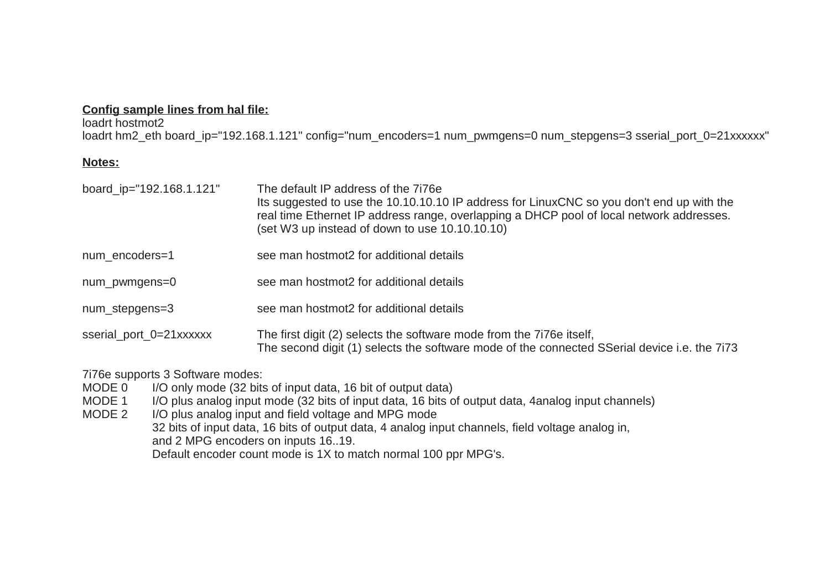### **Config sample lines from hal file:**

loadrt hostmot2 loadrt hm2\_eth board\_ip="192.168.1.121" config="num\_encoders=1 num\_pwmgens=0 num\_stepgens=3 sserial\_port\_0=21xxxxxx"

#### **Notes:**

| board ip="192.168.1.121" | The default IP address of the 7176e<br>Its suggested to use the 10.10.10.10 IP address for LinuxCNC so you don't end up with the<br>real time Ethernet IP address range, overlapping a DHCP pool of local network addresses.<br>(set W3 up instead of down to use 10.10.10.10) |
|--------------------------|--------------------------------------------------------------------------------------------------------------------------------------------------------------------------------------------------------------------------------------------------------------------------------|
| num encoders=1           | see man hostmot2 for additional details                                                                                                                                                                                                                                        |
| num_pwmgens=0            | see man hostmot2 for additional details                                                                                                                                                                                                                                        |
| num stepgens=3           | see man hostmot2 for additional details                                                                                                                                                                                                                                        |
| sserial port 0=21xxxxxx  | The first digit (2) selects the software mode from the 7176e itself,<br>The second digit (1) selects the software mode of the connected SSerial device i.e. the 7173                                                                                                           |

7i76e supports 3 Software modes:

- MODE 0 I/O only mode (32 bits of input data, 16 bit of output data)
- MODE 1 I/O plus analog input mode (32 bits of input data, 16 bits of output data, 4analog input channels)
- MODE 2 I/O plus analog input and field voltage and MPG mode 32 bits of input data, 16 bits of output data, 4 analog input channels, field voltage analog in, and 2 MPG encoders on inputs 16..19. Default encoder count mode is 1X to match normal 100 ppr MPG's.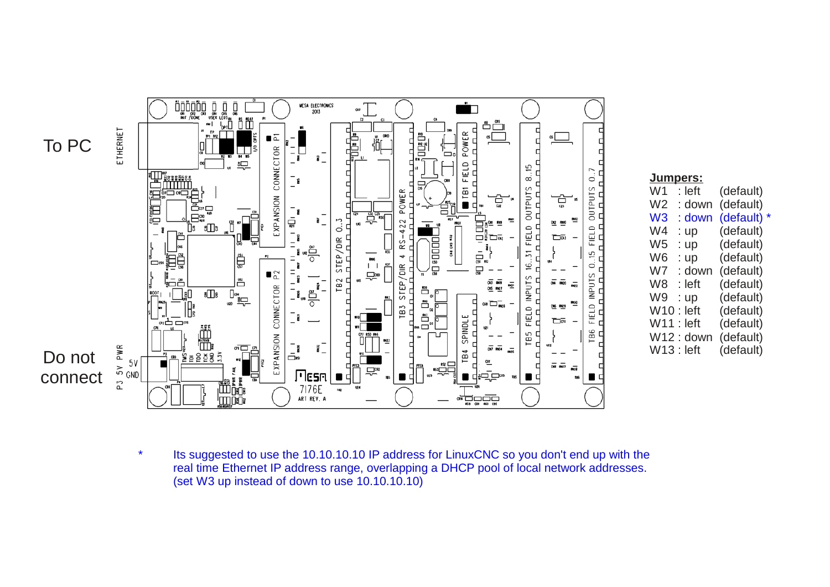

|                | <u>Jumpers:</u> |                      |
|----------------|-----------------|----------------------|
| W1             | : left          | (default)            |
| W <sub>2</sub> | : down          | (default)            |
| W <sub>3</sub> | : down          | (default)<br>$\star$ |
| W4             | : up            | (default)            |
| W <sub>5</sub> | up<br>t.        | (default)            |
| W6             | $:$ up          | (default)            |
| W7             | : down          | (default)            |
| W8             | : left          | (default)            |
| W9             | :up             | (default)            |
| W10            | ∴ left          | (default)            |
| W11 : left     |                 | (default)            |
|                | $W12:$ down     | (default)            |
| $W13:$ left    |                 | (default)            |

\* Its suggested to use the 10.10.10.10 IP address for LinuxCNC so you don't end up with the real time Ethernet IP address range, overlapping a DHCP pool of local network addresses. (set W3 up instead of down to use 10.10.10.10)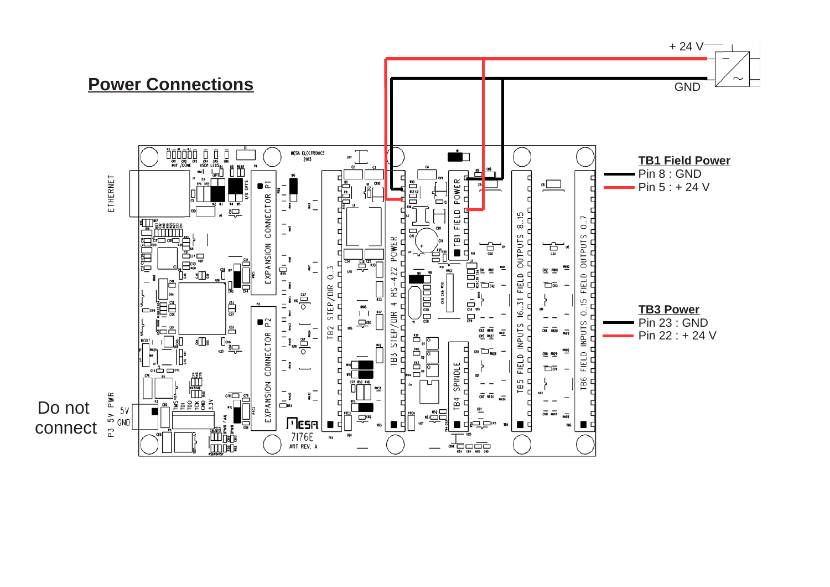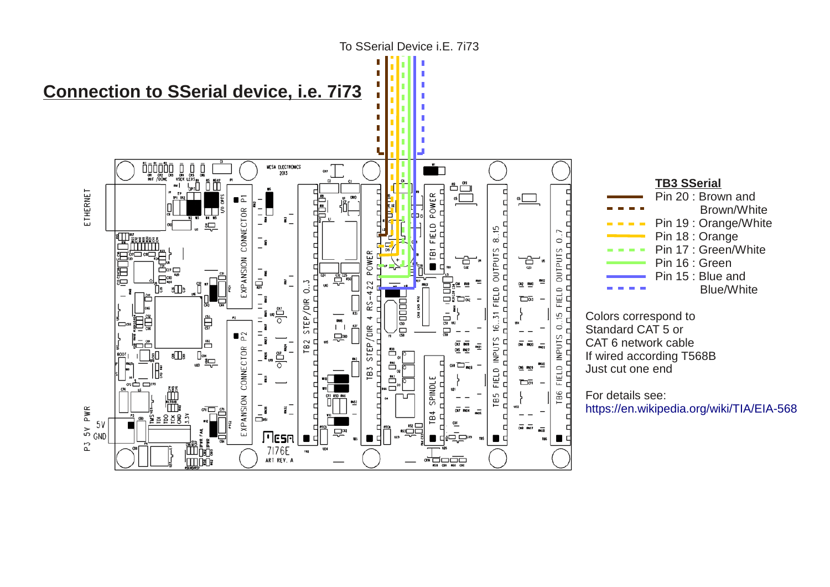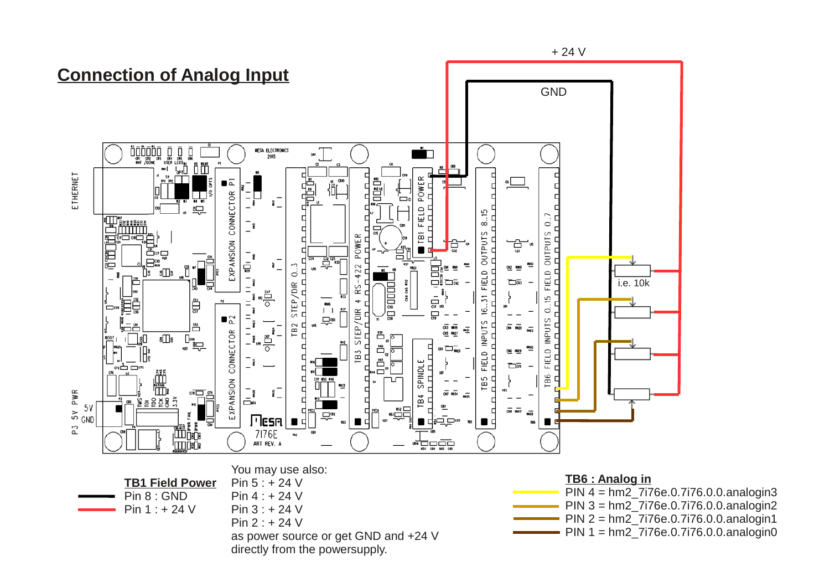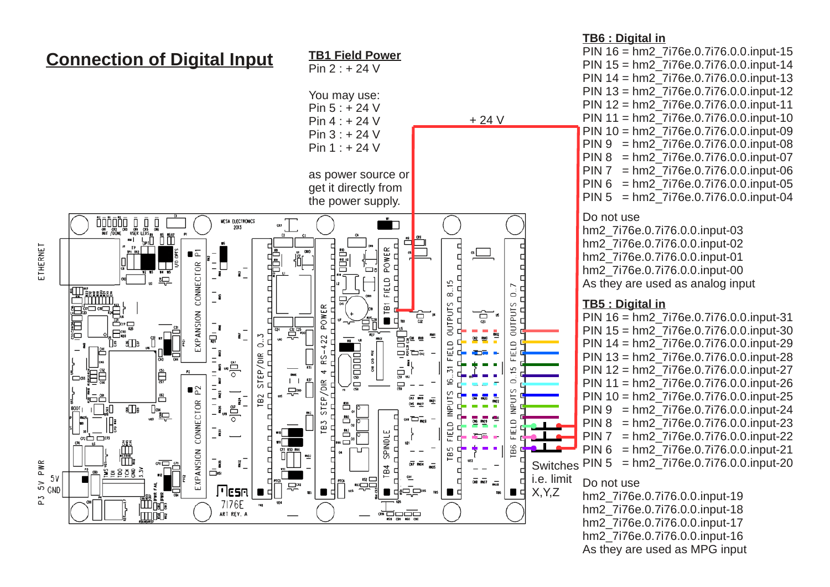

#### **TB6 : Digital in** PIN 16 = hm2\_7i76e.0.7i76.0.0.input-15 PIN 15 = hm2\_7i76e.0.7i76.0.0.input-14 PIN 14 = hm2\_7i76e.0.7i76.0.0.input-13 PIN 13 = hm2\_7i76e.0.7i76.0.0.input-12 PIN 12 = hm2\_7i76e.0.7i76.0.0.input-11 PIN 11 = hm2\_7i76e.0.7i76.0.0.input-10 PIN 10 = hm2\_7i76e.0.7i76.0.0.input-09 PIN 9 = hm2\_7i76e.0.7i76.0.0.input-08 PIN 8 = hm2\_7i76e.0.7i76.0.0.input-07 PIN 7 = hm2\_7i76e.0.7i76.0.0.input-06 PIN 6 = hm2\_7i76e.0.7i76.0.0.input-05 PIN 5 = hm2\_7i76e.0.7i76.0.0.input-04 Do not use hm2\_7i76e.0.7i76.0.0.input-03 hm2\_7i76e.0.7i76.0.0.input-02 hm2\_7i76e.0.7i76.0.0.input-01 hm2\_7i76e.0.7i76.0.0.input-00 As they are used as analog input **TB5 : Digital in** PIN 16 = hm2\_7i76e.0.7i76.0.0.input-31 PIN 15 = hm2\_7i76e.0.7i76.0.0.input-30 PIN 14 = hm2\_7i76e.0.7i76.0.0.input-29 PIN 13 = hm2\_7i76e.0.7i76.0.0.input-28 PIN 12 = hm2\_7i76e.0.7i76.0.0.input-27 PIN 11 = hm2\_7i76e.0.7i76.0.0.input-26 PIN 10 = hm2\_7i76e.0.7i76.0.0.input-25

- PIN 9 = hm2\_7i76e.0.7i76.0.0.input-24
- PIN 8 = hm2\_7i76e.0.7i76.0.0.input-23
- PIN 7 = hm2\_7i76e.0.7i76.0.0.input-22
- PIN 6 = hm2\_7i76e.0.7i76.0.0.input-21
	- $=$  hm2 $-7i76e.0.7i76.0.0.$ input-20

### Do not use

hm2\_7i76e.0.7i76.0.0.input-19 hm2\_7i76e.0.7i76.0.0.input-18 hm2\_7i76e.0.7i76.0.0.input-17 hm2\_7i76e.0.7i76.0.0.input-16 As they are used as MPG input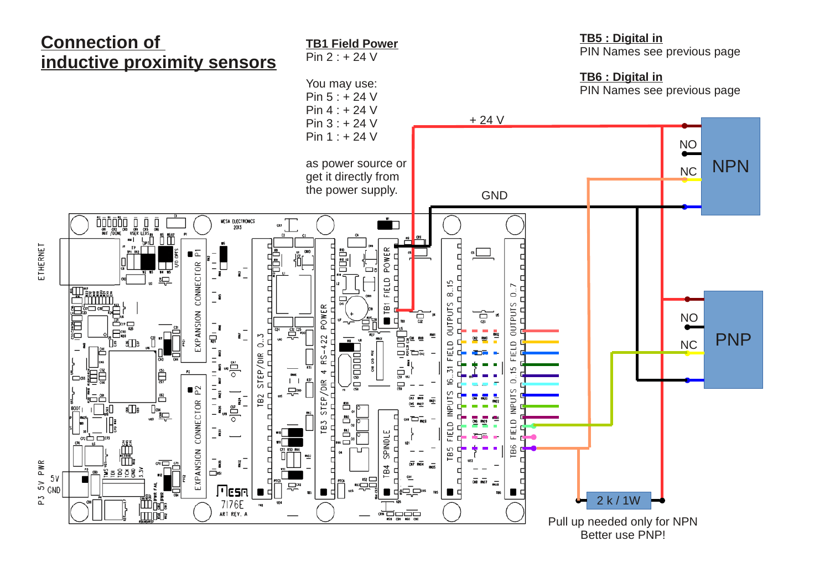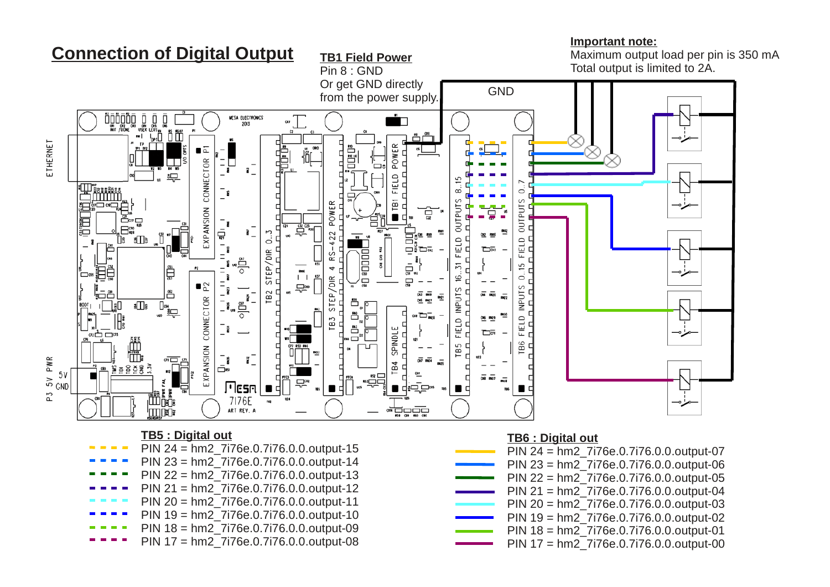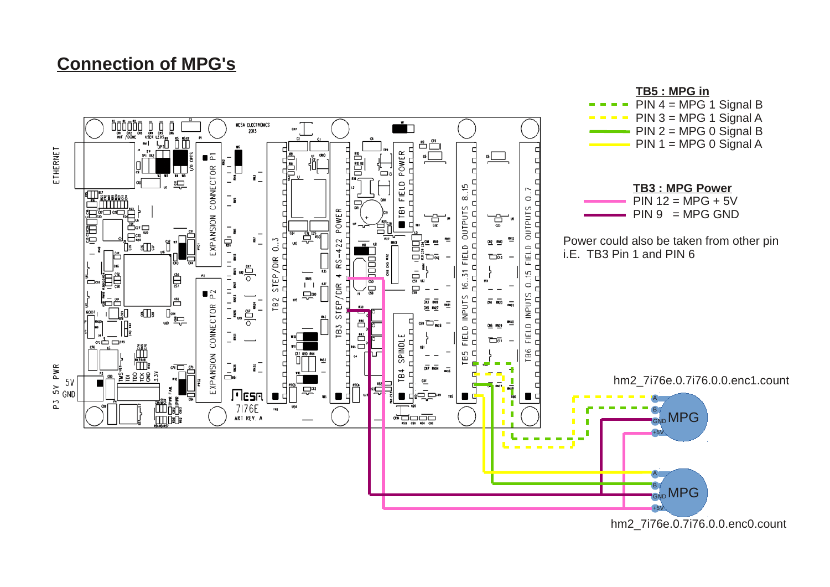# **Connection of MPG's**

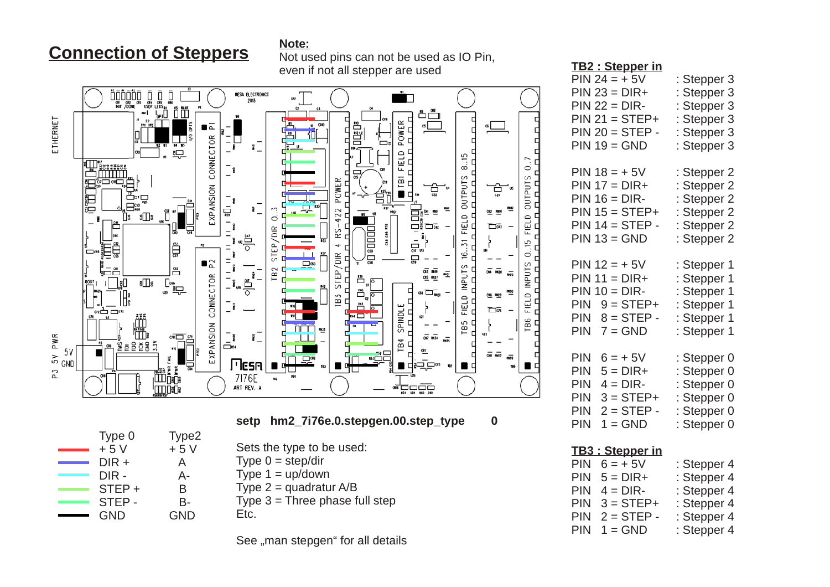# **Connection of Steppers**

**Note:**



Not used pins can not be used as IO Pin, even if not all stepper are used

## $PIN 23 = DIR +$  : Stepper 3  $PIN 22 = DIR-$  : Stepper 3  $PIN 21 = STEP+$  : Stepper 3 PIN  $20 =$  STEP - : Stepper 3  $PIN 19 = GND$  : Stepper 3 PIN  $18 = +5V$  : Stepper 2  $PIN 17 = DIR+$  : Stepper 2  $PIN 16 = DIR-$  : Stepper 2 PIN  $15 =$  STEP+ : Stepper 2 PIN  $14 =$  STEP - : Stepper 2  $PIN 13 = GND$  : Stepper 2 PIN  $12 = +5V$  : Stepper 1  $PIN 11 = DIR +$  : Stepper 1  $PIN 10 = DIR-$  : Stepper 1 PIN  $9 = STEP+$  : Stepper 1 PIN  $8 =$  STEP - : Stepper 1 PIN  $7 = GND$  : Stepper 1 PIN  $6 = +5V$  : Stepper 0 PIN  $5 = DIR +$  : Stepper 0 PIN  $4 = DIR -$  : Stepper 0  $PIN 3 = STEP+$  : Stepper 0 PIN 2 = STEP - : Stepper 0  $PIN 1 = GND$  : Stepper 0

**TB2 : Stepper in**

PIN  $24 = +5V$  : Stepper 3

| <b>TB3: Stepper in</b> |             |
|------------------------|-------------|
| PIN $6 = +5V$          | : Stepper 4 |
| $PIN 5 = DIR +$        | : Stepper 4 |
| $PIN 4 = DIR-$         | : Stepper 4 |
| $PIN 3 = STEP+$        | : Stepper 4 |
| $PIN 2 = STEP -$       | : Stepper 4 |
| $PIN 1 = GND$          | : Stepper 4 |

| Type 0     | Type2 |
|------------|-------|
| $+5V$      | $+5V$ |
| DIR +      | A     |
| DIR-       | А-    |
| STEP +     | B     |
| STEP-      | В-    |
| <b>GND</b> | GND   |

Sets the type to be used:

Type  $0 = step/dir$ 

Type  $1 = \text{up}/\text{down}$ 

Type  $2 =$  quadratur  $A/B$ 

Type  $3 =$  Three phase full step Etc.

See "man stepgen" for all details